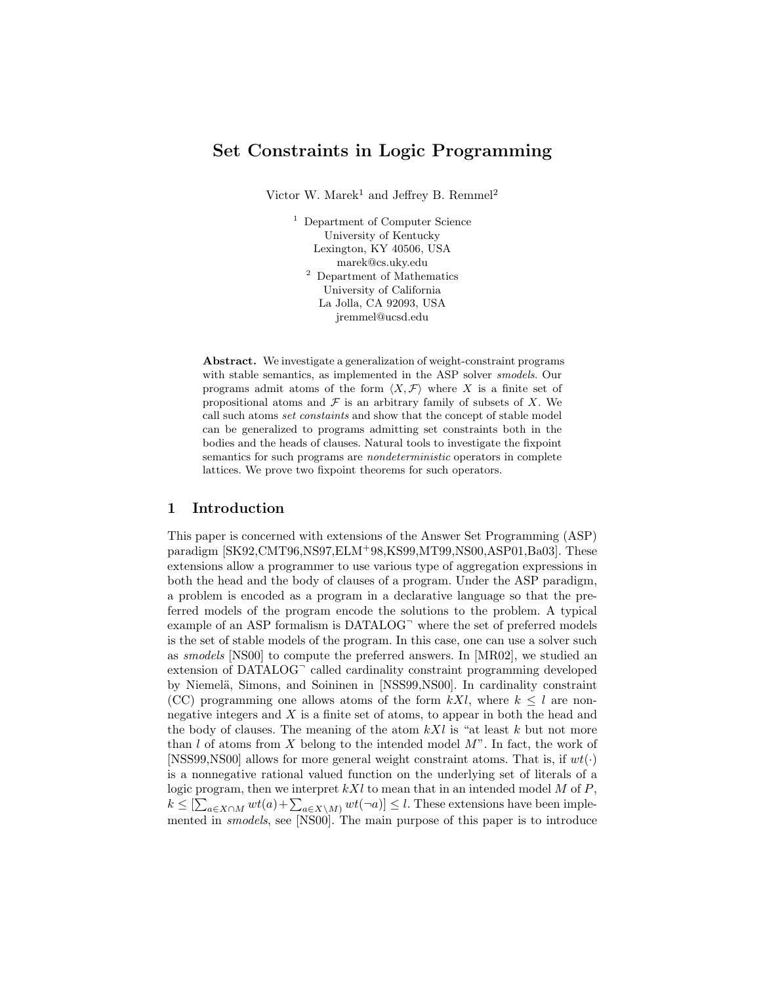# Set Constraints in Logic Programming

Victor W. Marek<sup>1</sup> and Jeffrey B. Remmel<sup>2</sup>

<sup>1</sup> Department of Computer Science University of Kentucky Lexington, KY 40506, USA marek@cs.uky.edu <sup>2</sup> Department of Mathematics University of California La Jolla, CA 92093, USA jremmel@ucsd.edu

Abstract. We investigate a generalization of weight-constraint programs with stable semantics, as implemented in the ASP solver smodels. Our programs admit atoms of the form  $\langle X, \mathcal{F} \rangle$  where X is a finite set of propositional atoms and  $\mathcal F$  is an arbitrary family of subsets of X. We call such atoms set constaints and show that the concept of stable model can be generalized to programs admitting set constraints both in the bodies and the heads of clauses. Natural tools to investigate the fixpoint semantics for such programs are *nondeterministic* operators in complete lattices. We prove two fixpoint theorems for such operators.

#### 1 Introduction

This paper is concerned with extensions of the Answer Set Programming (ASP) paradigm [SK92,CMT96,NS97,ELM<sup>+</sup>98,KS99,MT99,NS00,ASP01,Ba03]. These extensions allow a programmer to use various type of aggregation expressions in both the head and the body of clauses of a program. Under the ASP paradigm, a problem is encoded as a program in a declarative language so that the preferred models of the program encode the solutions to the problem. A typical example of an ASP formalism is  $DATALOG^{\frown}$  where the set of preferred models is the set of stable models of the program. In this case, one can use a solver such as smodels [NS00] to compute the preferred answers. In [MR02], we studied an extension of DATALOG<sup>-</sup> called cardinality constraint programming developed by Niemelä, Simons, and Soininen in [NSS99, NS00]. In cardinality constraint (CC) programming one allows atoms of the form  $kXl$ , where  $k \leq l$  are nonnegative integers and X is a finite set of atoms, to appear in both the head and the body of clauses. The meaning of the atom  $kXl$  is "at least k but not more than l of atoms from X belong to the intended model  $M$ ". In fact, the work of [NSS99,NS00] allows for more general weight constraint atoms. That is, if  $wt(\cdot)$ is a nonnegative rational valued function on the underlying set of literals of a logic program, then we interpret  $kXl$  to mean that in an intended model M of P,  $k \leq \left[\sum_{a \in X \cap M} wt(a) + \sum_{a \in X \setminus M} wt(\neg a)\right] \leq l$ . These extensions have been implemented in smodels, see [NS00]. The main purpose of this paper is to introduce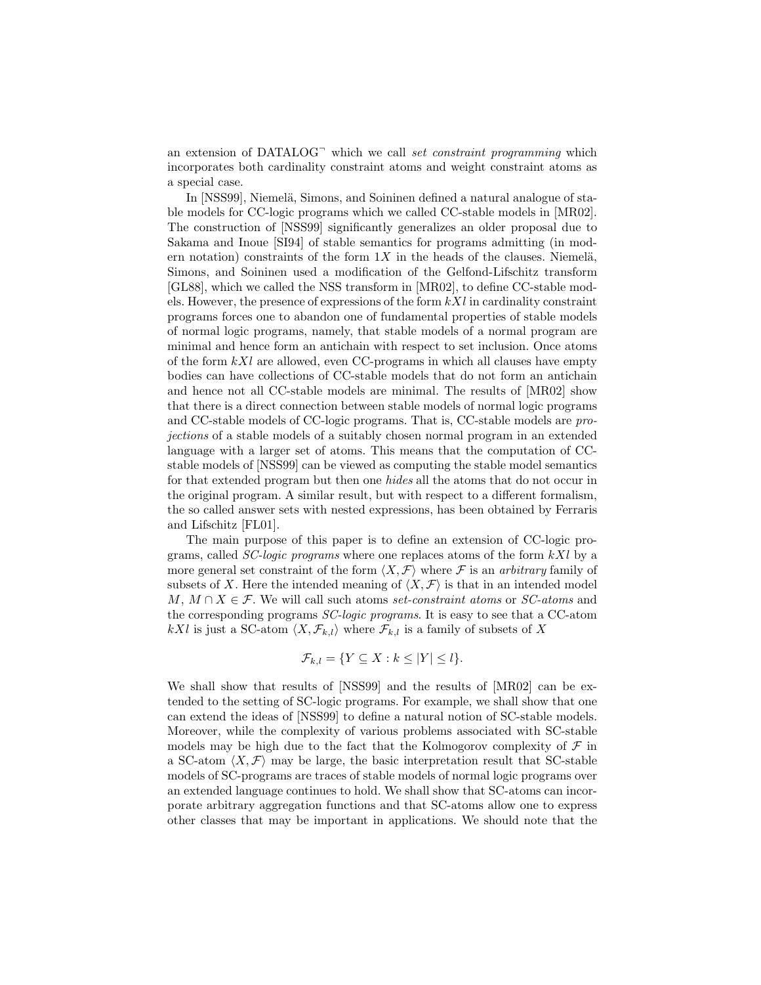an extension of  $DATALOG^{\frown}$  which we call set constraint programming which incorporates both cardinality constraint atoms and weight constraint atoms as a special case.

In [NSS99], Niemelä, Simons, and Soininen defined a natural analogue of stable models for CC-logic programs which we called CC-stable models in [MR02]. The construction of [NSS99] significantly generalizes an older proposal due to Sakama and Inoue [SI94] of stable semantics for programs admitting (in modern notation) constraints of the form  $1X$  in the heads of the clauses. Niemelä, Simons, and Soininen used a modification of the Gelfond-Lifschitz transform [GL88], which we called the NSS transform in [MR02], to define CC-stable models. However, the presence of expressions of the form  $kXl$  in cardinality constraint programs forces one to abandon one of fundamental properties of stable models of normal logic programs, namely, that stable models of a normal program are minimal and hence form an antichain with respect to set inclusion. Once atoms of the form  $kXl$  are allowed, even CC-programs in which all clauses have empty bodies can have collections of CC-stable models that do not form an antichain and hence not all CC-stable models are minimal. The results of [MR02] show that there is a direct connection between stable models of normal logic programs and CC-stable models of CC-logic programs. That is, CC-stable models are projections of a stable models of a suitably chosen normal program in an extended language with a larger set of atoms. This means that the computation of CCstable models of [NSS99] can be viewed as computing the stable model semantics for that extended program but then one hides all the atoms that do not occur in the original program. A similar result, but with respect to a different formalism, the so called answer sets with nested expressions, has been obtained by Ferraris and Lifschitz [FL01].

The main purpose of this paper is to define an extension of CC-logic programs, called *SC-logic programs* where one replaces atoms of the form  $kXl$  by a more general set constraint of the form  $\langle X, \mathcal{F} \rangle$  where F is an arbitrary family of subsets of X. Here the intended meaning of  $\langle X, \mathcal{F} \rangle$  is that in an intended model M,  $M \cap X \in \mathcal{F}$ . We will call such atoms set-constraint atoms or SC-atoms and the corresponding programs SC-logic programs. It is easy to see that a CC-atom kXl is just a SC-atom  $\langle X, \mathcal{F}_{k,l}\rangle$  where  $\mathcal{F}_{k,l}$  is a family of subsets of X

$$
\mathcal{F}_{k,l} = \{ Y \subseteq X : k \leq |Y| \leq l \}.
$$

We shall show that results of [NSS99] and the results of [MR02] can be extended to the setting of SC-logic programs. For example, we shall show that one can extend the ideas of [NSS99] to define a natural notion of SC-stable models. Moreover, while the complexity of various problems associated with SC-stable models may be high due to the fact that the Kolmogorov complexity of  $\mathcal F$  in a SC-atom  $\langle X, \mathcal{F} \rangle$  may be large, the basic interpretation result that SC-stable models of SC-programs are traces of stable models of normal logic programs over an extended language continues to hold. We shall show that SC-atoms can incorporate arbitrary aggregation functions and that SC-atoms allow one to express other classes that may be important in applications. We should note that the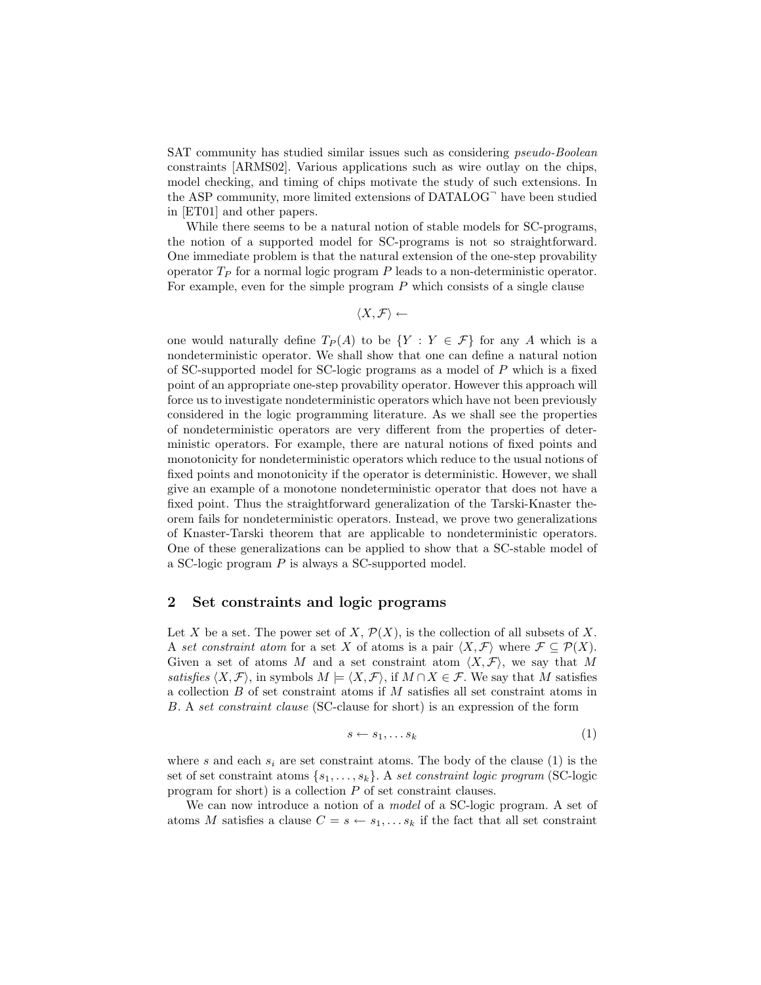SAT community has studied similar issues such as considering pseudo-Boolean constraints [ARMS02]. Various applications such as wire outlay on the chips, model checking, and timing of chips motivate the study of such extensions. In the ASP community, more limited extensions of DATALOG<sup>-</sup> have been studied in [ET01] and other papers.

While there seems to be a natural notion of stable models for SC-programs, the notion of a supported model for SC-programs is not so straightforward. One immediate problem is that the natural extension of the one-step provability operator  $T_P$  for a normal logic program  $P$  leads to a non-deterministic operator. For example, even for the simple program  $P$  which consists of a single clause

$$
\langle X,\mathcal{F}\rangle \leftarrow
$$

one would naturally define  $T_P(A)$  to be  $\{Y : Y \in \mathcal{F}\}\$ for any A which is a nondeterministic operator. We shall show that one can define a natural notion of SC-supported model for SC-logic programs as a model of P which is a fixed point of an appropriate one-step provability operator. However this approach will force us to investigate nondeterministic operators which have not been previously considered in the logic programming literature. As we shall see the properties of nondeterministic operators are very different from the properties of deterministic operators. For example, there are natural notions of fixed points and monotonicity for nondeterministic operators which reduce to the usual notions of fixed points and monotonicity if the operator is deterministic. However, we shall give an example of a monotone nondeterministic operator that does not have a fixed point. Thus the straightforward generalization of the Tarski-Knaster theorem fails for nondeterministic operators. Instead, we prove two generalizations of Knaster-Tarski theorem that are applicable to nondeterministic operators. One of these generalizations can be applied to show that a SC-stable model of a SC-logic program P is always a SC-supported model.

# 2 Set constraints and logic programs

Let X be a set. The power set of X,  $\mathcal{P}(X)$ , is the collection of all subsets of X. A set constraint atom for a set X of atoms is a pair  $\langle X, \mathcal{F} \rangle$  where  $\mathcal{F} \subseteq \mathcal{P}(X)$ . Given a set of atoms M and a set constraint atom  $\langle X, \mathcal{F} \rangle$ , we say that M satisfies  $\langle X, \mathcal{F} \rangle$ , in symbols  $M \models \langle X, \mathcal{F} \rangle$ , if  $M \cap X \in \mathcal{F}$ . We say that M satisfies a collection B of set constraint atoms if M satisfies all set constraint atoms in B. A set constraint clause (SC-clause for short) is an expression of the form

$$
s \leftarrow s_1, \dots s_k \tag{1}
$$

where s and each  $s_i$  are set constraint atoms. The body of the clause (1) is the set of set constraint atoms  $\{s_1, \ldots, s_k\}$ . A set constraint logic program (SC-logic program for short) is a collection P of set constraint clauses.

We can now introduce a notion of a *model* of a SC-logic program. A set of atoms M satisfies a clause  $C = s \leftarrow s_1, \ldots s_k$  if the fact that all set constraint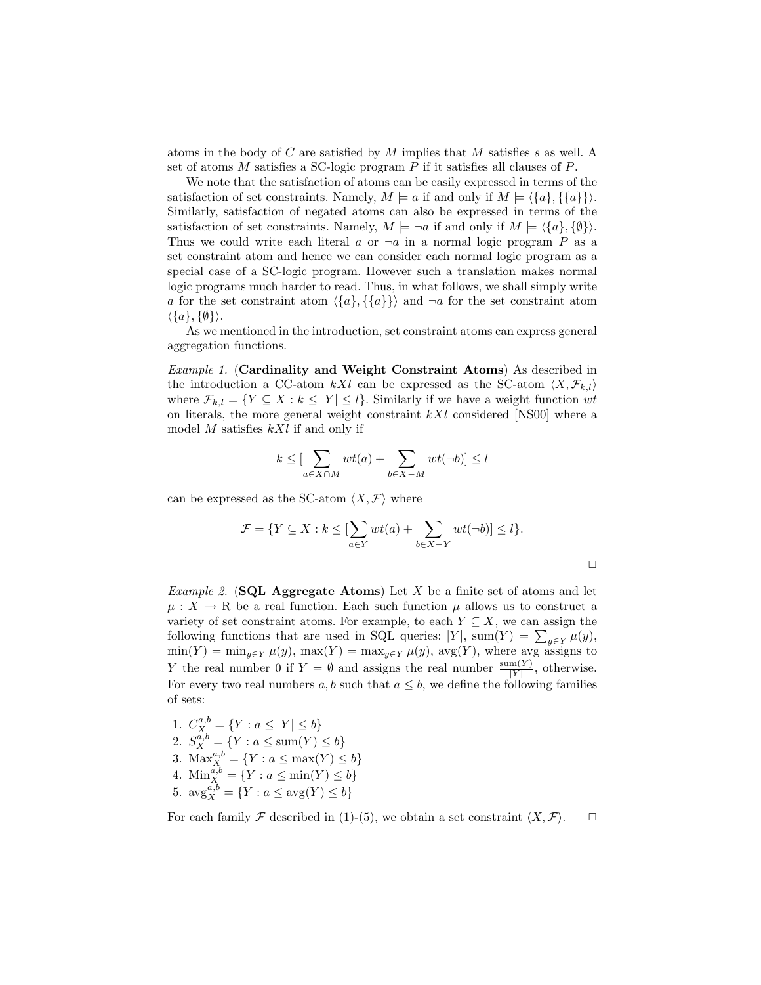atoms in the body of C are satisfied by M implies that M satisfies s as well. A set of atoms  $M$  satisfies a SC-logic program  $P$  if it satisfies all clauses of  $P$ .

We note that the satisfaction of atoms can be easily expressed in terms of the satisfaction of set constraints. Namely,  $M \models a$  if and only if  $M \models \langle \{a\}, \{\{a\}\}\rangle$ . Similarly, satisfaction of negated atoms can also be expressed in terms of the satisfaction of set constraints. Namely,  $M \models \neg a$  if and only if  $M \models \langle \{a\}, \{\emptyset\} \rangle$ . Thus we could write each literal a or  $\neg a$  in a normal logic program P as a set constraint atom and hence we can consider each normal logic program as a special case of a SC-logic program. However such a translation makes normal logic programs much harder to read. Thus, in what follows, we shall simply write a for the set constraint atom  $\langle \{a\}, \{\{a\}\}\rangle$  and  $\neg a$  for the set constraint atom  $\langle \{a\}, \{\emptyset\} \rangle.$ 

As we mentioned in the introduction, set constraint atoms can express general aggregation functions.

Example 1. (Cardinality and Weight Constraint Atoms) As described in the introduction a CC-atom kXl can be expressed as the SC-atom  $\langle X, \mathcal{F}_{k,l} \rangle$ where  $\mathcal{F}_{k,l} = \{ Y \subseteq X : k \leq |Y| \leq l \}.$  Similarly if we have a weight function wt on literals, the more general weight constraint  $kXl$  considered [NS00] where a model  $M$  satisfies  $kXl$  if and only if

$$
k \leq \left[\sum_{a \in X \cap M} wt(a) + \sum_{b \in X - M} wt(\neg b)\right] \leq l
$$

can be expressed as the SC-atom  $\langle X, \mathcal{F} \rangle$  where

$$
\mathcal{F} = \{ Y \subseteq X : k \leq \left[ \sum_{a \in Y} wt(a) + \sum_{b \in X - Y} wt(\neg b) \right] \leq l \}.
$$

 $\Box$ 

*Example 2.* (SQL Aggregate Atoms) Let X be a finite set of atoms and let  $\mu: X \to \mathbb{R}$  be a real function. Each such function  $\mu$  allows us to construct a variety of set constraint atoms. For example, to each  $Y \subseteq X$ , we can assign the following functions that are used in SQL queries:  $|Y|$ , sum $(Y) = \sum_{y \in Y} \mu(y)$ ,  $min(Y) = min_{y \in Y} \mu(y)$ ,  $max(Y) = max_{y \in Y} \mu(y)$ ,  $avg(Y)$ , where avg assigns to Y the real number 0 if  $Y = \emptyset$  and assigns the real number  $\frac{\text{sum}(Y)}{|Y|}$ , otherwise. For every two real numbers a, b such that  $a \leq b$ , we define the following families of sets:

- 1.  $C_X^{a,b} = \{ Y : a \leq |Y| \leq b \}$
- 2.  $S_X^{a,b} = \{ Y : a \le \text{sum}(Y) \le b \}$
- 3.  $\text{Max}_{X}^{a,b} = \{Y : a \leq \max(Y) \leq b\}$
- 4.  $\text{Min}_{X}^{a,b} = \{ Y : a \le \min(Y) \le b \}$
- 5.  $\arg_{X}^{a,b} = \{ Y : a \leq \arg(Y) \leq b \}$

For each family F described in (1)-(5), we obtain a set constraint  $\langle X, \mathcal{F} \rangle$ .  $\Box$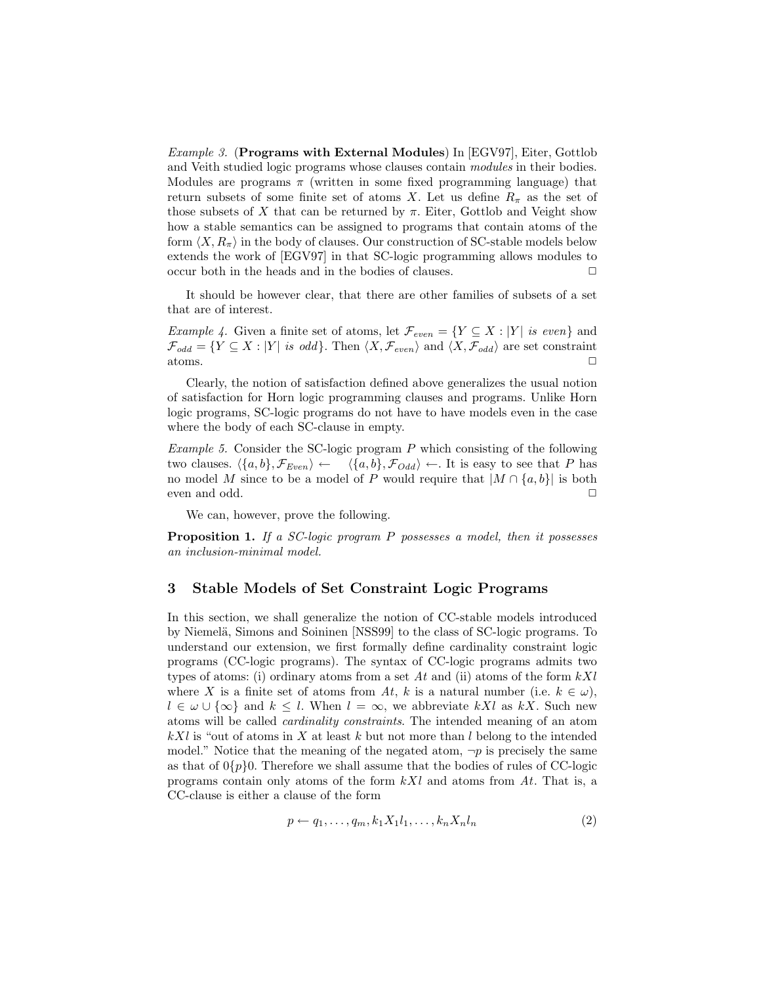Example 3. (Programs with External Modules) In [EGV97], Eiter, Gottlob and Veith studied logic programs whose clauses contain modules in their bodies. Modules are programs  $\pi$  (written in some fixed programming language) that return subsets of some finite set of atoms X. Let us define  $R_\pi$  as the set of those subsets of X that can be returned by  $\pi$ . Eiter, Gottlob and Veight show how a stable semantics can be assigned to programs that contain atoms of the form  $\langle X, R_{\pi} \rangle$  in the body of clauses. Our construction of SC-stable models below extends the work of [EGV97] in that SC-logic programming allows modules to occur both in the heads and in the bodies of clauses.  $\Box$ 

It should be however clear, that there are other families of subsets of a set that are of interest.

*Example 4.* Given a finite set of atoms, let  $\mathcal{F}_{even} = \{Y \subseteq X : |Y| \text{ is even}\}$  and  $\mathcal{F}_{odd} = \{ Y \subseteq X : |Y| \text{ is odd} \}.$  Then  $\langle X, \mathcal{F}_{even} \rangle$  and  $\langle X, \mathcal{F}_{odd} \rangle$  are set constraint atoms.  $\Box$ 

Clearly, the notion of satisfaction defined above generalizes the usual notion of satisfaction for Horn logic programming clauses and programs. Unlike Horn logic programs, SC-logic programs do not have to have models even in the case where the body of each SC-clause in empty.

Example 5. Consider the SC-logic program  $P$  which consisting of the following two clauses.  $\langle \{a, b\}, \mathcal{F}_{Even} \rangle \leftarrow \langle \{a, b\}, \mathcal{F}_{Odd} \rangle \leftarrow$ . It is easy to see that P has no model M since to be a model of P would require that  $|M \cap {a, b}|$  is both even and odd.  $\Box$ 

We can, however, prove the following.

Proposition 1. If a SC-logic program P possesses a model, then it possesses an inclusion-minimal model.

# 3 Stable Models of Set Constraint Logic Programs

In this section, we shall generalize the notion of CC-stable models introduced by Niemelä, Simons and Soininen [NSS99] to the class of SC-logic programs. To understand our extension, we first formally define cardinality constraint logic programs (CC-logic programs). The syntax of CC-logic programs admits two types of atoms: (i) ordinary atoms from a set  $At$  and (ii) atoms of the form  $kXl$ where X is a finite set of atoms from At, k is a natural number (i.e.  $k \in \omega$ ),  $l \in \omega \cup \{\infty\}$  and  $k \leq l$ . When  $l = \infty$ , we abbreviate kXl as kX. Such new atoms will be called cardinality constraints. The intended meaning of an atom  $kXl$  is "out of atoms in X at least k but not more than l belong to the intended model." Notice that the meaning of the negated atom,  $\neg p$  is precisely the same as that of  $0\{p\}0$ . Therefore we shall assume that the bodies of rules of CC-logic programs contain only atoms of the form  $kXl$  and atoms from At. That is, a CC-clause is either a clause of the form

$$
p \leftarrow q_1, \dots, q_m, k_1 X_1 l_1, \dots, k_n X_n l_n \tag{2}
$$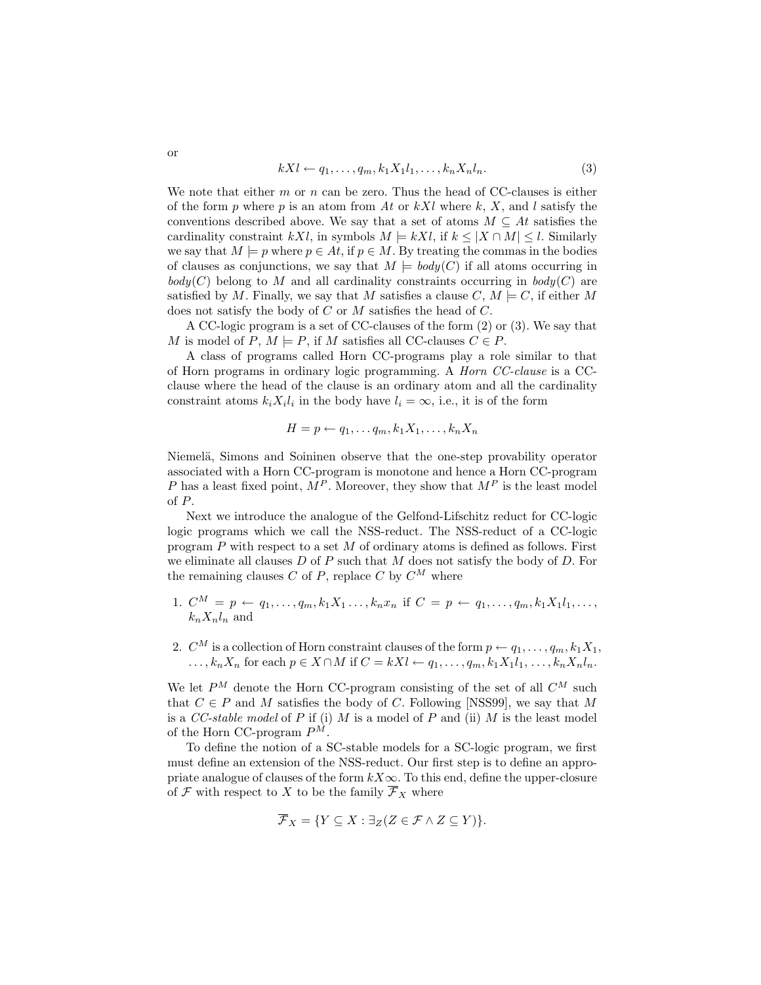$$
kXl \leftarrow q_1, \dots, q_m, k_1X_1l_1, \dots, k_nX_nl_n. \tag{3}
$$

We note that either  $m$  or  $n$  can be zero. Thus the head of CC-clauses is either of the form p where p is an atom from At or  $kXl$  where k, X, and l satisfy the conventions described above. We say that a set of atoms  $M \subseteq At$  satisfies the cardinality constraint kXl, in symbols  $M \models kXl$ , if  $k \leq |X \cap M| \leq l$ . Similarly we say that  $M \models p$  where  $p \in At$ , if  $p \in M$ . By treating the commas in the bodies of clauses as conjunctions, we say that  $M \models body(C)$  if all atoms occurring in  $body(C)$  belong to M and all cardinality constraints occurring in  $body(C)$  are satisfied by M. Finally, we say that M satisfies a clause C,  $M \models C$ , if either M does not satisfy the body of C or M satisfies the head of C.

A CC-logic program is a set of CC-clauses of the form (2) or (3). We say that M is model of P,  $M \models P$ , if M satisfies all CC-clauses  $C \in P$ .

A class of programs called Horn CC-programs play a role similar to that of Horn programs in ordinary logic programming. A Horn CC-clause is a CCclause where the head of the clause is an ordinary atom and all the cardinality constraint atoms  $k_i X_i l_i$  in the body have  $l_i = \infty$ , i.e., it is of the form

$$
H = p \leftarrow q_1, \dots q_m, k_1 X_1, \dots, k_n X_n
$$

Niemelä, Simons and Soininen observe that the one-step provability operator associated with a Horn CC-program is monotone and hence a Horn CC-program P has a least fixed point,  $M^P$ . Moreover, they show that  $M^P$  is the least model of P.

Next we introduce the analogue of the Gelfond-Lifschitz reduct for CC-logic logic programs which we call the NSS-reduct. The NSS-reduct of a CC-logic program  $P$  with respect to a set  $M$  of ordinary atoms is defined as follows. First we eliminate all clauses  $D$  of  $P$  such that  $M$  does not satisfy the body of  $D$ . For the remaining clauses  $C$  of  $P$ , replace  $C$  by  $C^M$  where

- 1.  $C^M = p \leftarrow q_1, \ldots, q_m, k_1 X_1 \ldots, k_n x_n$  if  $C = p \leftarrow q_1, \ldots, q_m, k_1 X_1 l_1, \ldots,$  $k_n X_n l_n$  and
- 2.  $C^M$  is a collection of Horn constraint clauses of the form  $p \leftarrow q_1, \ldots, q_m, k_1 X_1$ ,  $\ldots, k_n X_n$  for each  $p \in X \cap M$  if  $C = kXl \leftarrow q_1, \ldots, q_m, k_1 X_1 l_1, \ldots, k_n X_n l_n$ .

We let  $P^M$  denote the Horn CC-program consisting of the set of all  $C^M$  such that  $C \in P$  and M satisfies the body of C. Following [NSS99], we say that M is a  $CC\text{-}stable \text{ model of } P$  if (i)  $M$  is a model of  $P$  and (ii)  $M$  is the least model of the Horn CC-program  $P^M$ .

To define the notion of a SC-stable models for a SC-logic program, we first must define an extension of the NSS-reduct. Our first step is to define an appropriate analogue of clauses of the form  $kX\infty$ . To this end, define the upper-closure of F with respect to X to be the family  $\overline{\mathcal{F}}_X$  where

$$
\overline{\mathcal{F}}_X = \{ Y \subseteq X : \exists_Z (Z \in \mathcal{F} \wedge Z \subseteq Y) \}.
$$

or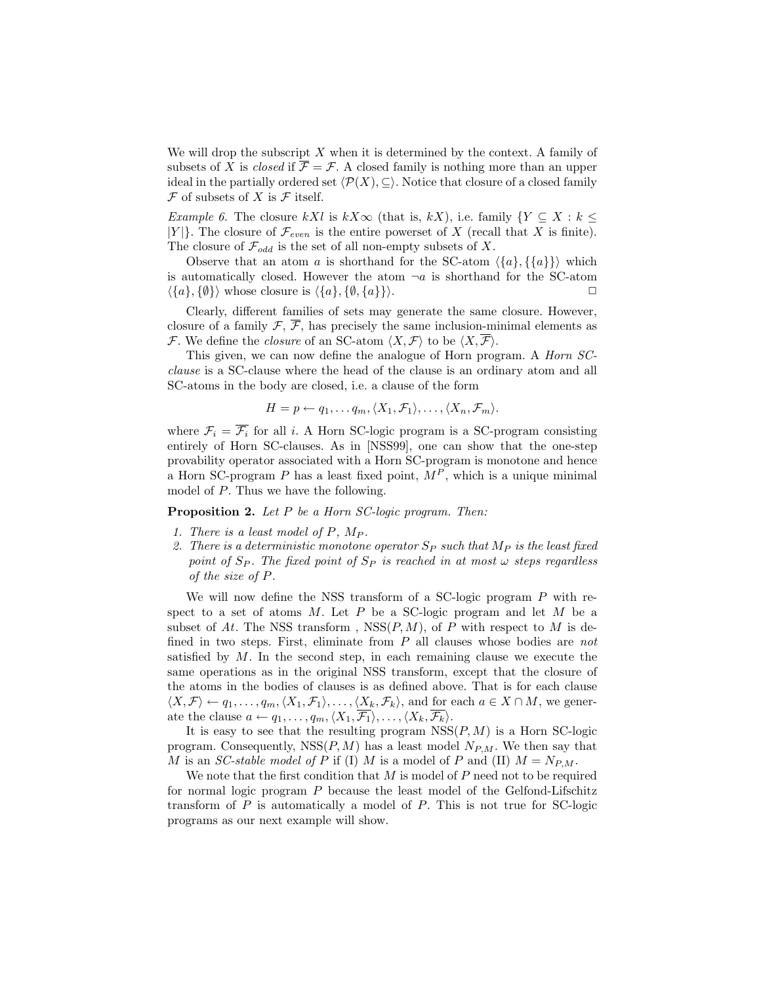We will drop the subscript  $X$  when it is determined by the context. A family of subsets of X is *closed* if  $\overline{\mathcal{F}} = \mathcal{F}$ . A closed family is nothing more than an upper ideal in the partially ordered set  $\langle \mathcal{P}(X), \subseteq \rangle$ . Notice that closure of a closed family  $\mathcal F$  of subsets of X is  $\mathcal F$  itself.

*Example 6.* The closure kXl is kX∞ (that is, kX), i.e. family  $\{Y \subseteq X : k \leq \}$  $|Y|$ . The closure of  $\mathcal{F}_{even}$  is the entire powerset of X (recall that X is finite). The closure of  $\mathcal{F}_{odd}$  is the set of all non-empty subsets of X.

Observe that an atom a is shorthand for the SC-atom  $\langle \{a\}, \{a\}\rangle$  which is automatically closed. However the atom  $\neg a$  is shorthand for the SC-atom  $\langle \{a\}, \{\emptyset\} \rangle$  whose closure is  $\langle \{a\}, \{\emptyset, \{a\}\} \rangle$ .

Clearly, different families of sets may generate the same closure. However, closure of a family  $\mathcal{F}, \overline{\mathcal{F}},$  has precisely the same inclusion-minimal elements as F. We define the *closure* of an SC-atom  $\langle X, \mathcal{F} \rangle$  to be  $\langle X, \overline{\mathcal{F}} \rangle$ .

This given, we can now define the analogue of Horn program. A *Horn SC*clause is a SC-clause where the head of the clause is an ordinary atom and all SC-atoms in the body are closed, i.e. a clause of the form

$$
H=p\leftarrow q_1,\ldots q_m, \langle X_1,\mathcal{F}_1\rangle,\ldots,\langle X_n,\mathcal{F}_m\rangle.
$$

where  $\mathcal{F}_i = \overline{\mathcal{F}_i}$  for all i. A Horn SC-logic program is a SC-program consisting entirely of Horn SC-clauses. As in [NSS99], one can show that the one-step provability operator associated with a Horn SC-program is monotone and hence a Horn SC-program P has a least fixed point,  $M<sup>P</sup>$ , which is a unique minimal model of P. Thus we have the following.

Proposition 2. Let P be a Horn SC-logic program. Then:

- 1. There is a least model of  $P$ ,  $M_P$ .
- 2. There is a deterministic monotone operator  $S_P$  such that  $M_P$  is the least fixed point of  $S_P$ . The fixed point of  $S_P$  is reached in at most  $\omega$  steps regardless of the size of P.

We will now define the NSS transform of a SC-logic program P with respect to a set of atoms  $M$ . Let  $P$  be a SC-logic program and let  $M$  be a subset of At. The NSS transform,  $NSS(P, M)$ , of P with respect to M is defined in two steps. First, eliminate from  $P$  all clauses whose bodies are not satisfied by  $M$ . In the second step, in each remaining clause we execute the same operations as in the original NSS transform, except that the closure of the atoms in the bodies of clauses is as defined above. That is for each clause  $\langle X, \mathcal{F} \rangle \leftarrow q_1, \ldots, q_m, \langle X_1, \mathcal{F}_1 \rangle, \ldots, \langle X_k, \mathcal{F}_k \rangle$ , and for each  $a \in X \cap M$ , we generate the clause  $a \leftarrow q_1, \ldots, q_m, \langle X_1, \mathcal{F}_1 \rangle, \ldots, \langle X_k, \mathcal{F}_k \rangle.$ 

It is easy to see that the resulting program  $NSS(P, M)$  is a Horn SC-logic program. Consequently,  $NSS(P, M)$  has a least model  $N_{P,M}$ . We then say that M is an SC-stable model of P if (I) M is a model of P and (II)  $M = N_{P,M}$ .

We note that the first condition that  $M$  is model of  $P$  need not to be required for normal logic program P because the least model of the Gelfond-Lifschitz transform of  $P$  is automatically a model of  $P$ . This is not true for SC-logic programs as our next example will show.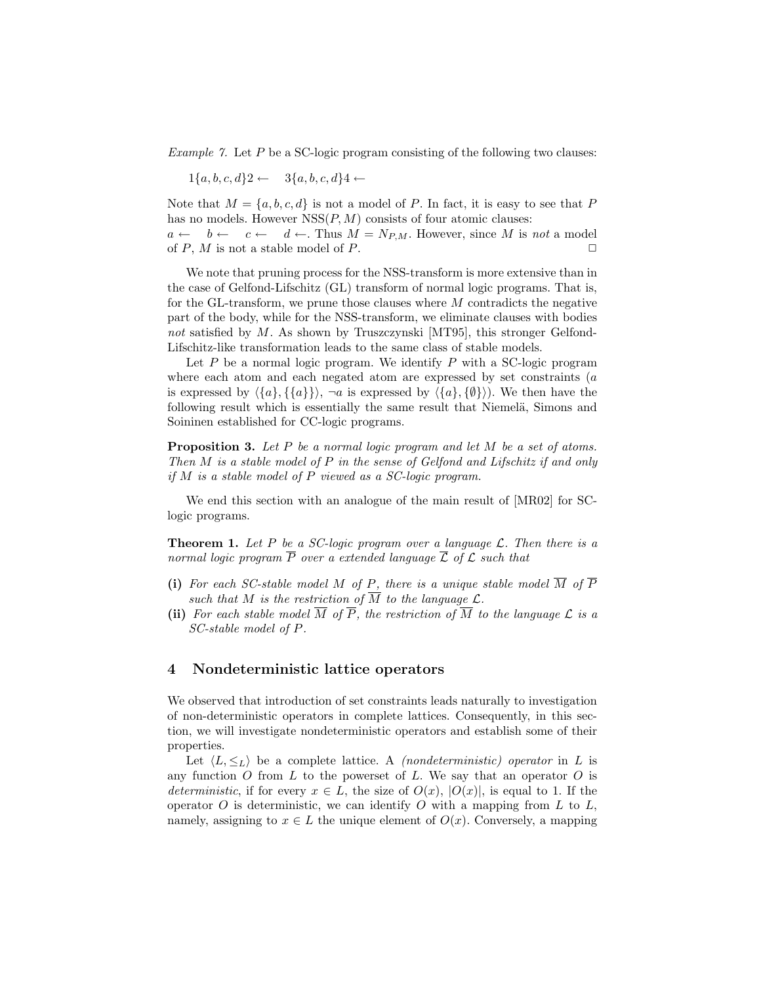Example 7. Let  $P$  be a SC-logic program consisting of the following two clauses:

 $1\{a, b, c, d\}2 \leftarrow 3\{a, b, c, d\}4 \leftarrow$ 

Note that  $M = \{a, b, c, d\}$  is not a model of P. In fact, it is easy to see that P has no models. However  $NSS(P, M)$  consists of four atomic clauses:

 $a \leftarrow b \leftarrow c \leftarrow d \leftarrow$ . Thus  $M = N_{P,M}$ . However, since M is not a model of  $P$ ,  $M$  is not a stable model of  $P$ .

We note that pruning process for the NSS-transform is more extensive than in the case of Gelfond-Lifschitz (GL) transform of normal logic programs. That is, for the GL-transform, we prune those clauses where  $M$  contradicts the negative part of the body, while for the NSS-transform, we eliminate clauses with bodies not satisfied by  $M$ . As shown by Truszczynski [MT95], this stronger Gelfond-Lifschitz-like transformation leads to the same class of stable models.

Let  $P$  be a normal logic program. We identify  $P$  with a SC-logic program where each atom and each negated atom are expressed by set constraints  $(a)$ is expressed by  $\langle \{a\}, \{\{a\}\}\rangle$ ,  $\neg a$  is expressed by  $\langle \{a\}, \{\emptyset\}\rangle$ . We then have the following result which is essentially the same result that Niemelä, Simons and Soininen established for CC-logic programs.

**Proposition 3.** Let P be a normal logic program and let M be a set of atoms. Then M is a stable model of P in the sense of Gelfond and Lifschitz if and only if M is a stable model of P viewed as a SC-logic program.

We end this section with an analogue of the main result of [MR02] for SClogic programs.

**Theorem 1.** Let P be a SC-logic program over a language  $\mathcal{L}$ . Then there is a normal logic program  $\overline{P}$  over a extended language  $\overline{L}$  of  $\mathcal L$  such that

- (i) For each SC-stable model M of P, there is a unique stable model  $\overline{M}$  of  $\overline{P}$ such that M is the restriction of  $\overline{M}$  to the language  $\mathcal{L}$ .
- (ii) For each stable model  $\overline{M}$  of  $\overline{P}$ , the restriction of  $\overline{M}$  to the language  $\mathcal L$  is a SC-stable model of P.

# 4 Nondeterministic lattice operators

We observed that introduction of set constraints leads naturally to investigation of non-deterministic operators in complete lattices. Consequently, in this section, we will investigate nondeterministic operators and establish some of their properties.

Let  $\langle L, \leq_L \rangle$  be a complete lattice. A *(nondeterministic) operator* in L is any function  $O$  from  $L$  to the powerset of  $L$ . We say that an operator  $O$  is deterministic, if for every  $x \in L$ , the size of  $O(x)$ ,  $|O(x)|$ , is equal to 1. If the operator  $O$  is deterministic, we can identify  $O$  with a mapping from  $L$  to  $L$ , namely, assigning to  $x \in L$  the unique element of  $O(x)$ . Conversely, a mapping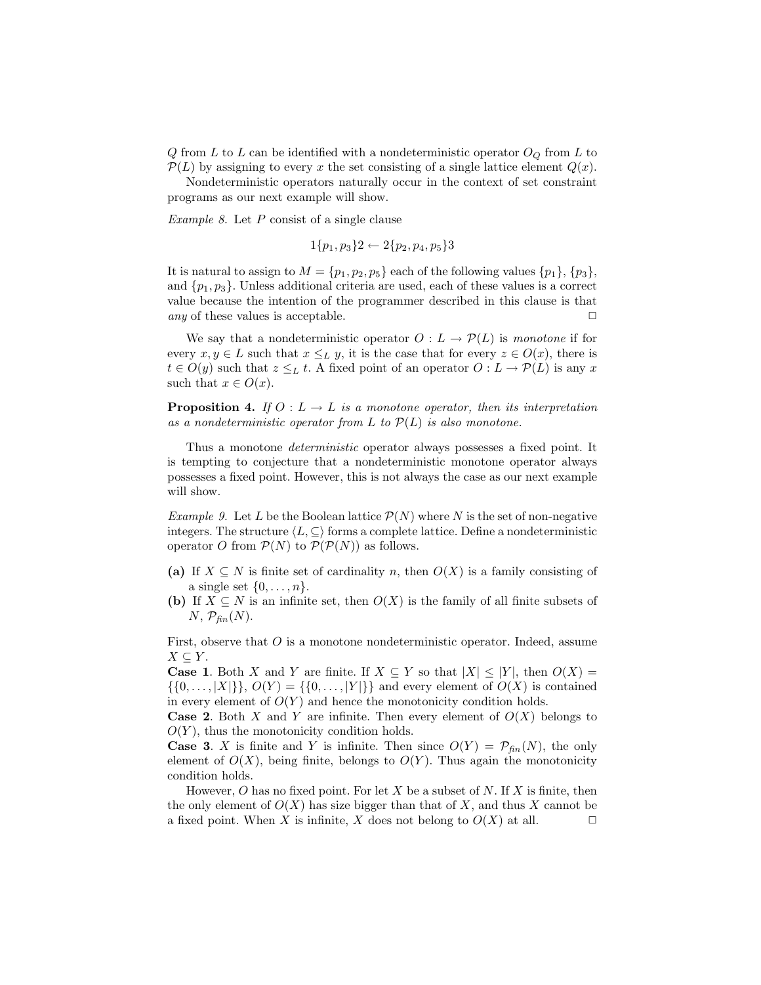Q from L to L can be identified with a nondeterministic operator  $O_Q$  from L to  $\mathcal{P}(L)$  by assigning to every x the set consisting of a single lattice element  $Q(x)$ .

Nondeterministic operators naturally occur in the context of set constraint programs as our next example will show.

Example 8. Let  $P$  consist of a single clause

$$
1\{p_1, p_3\}2 \leftarrow 2\{p_2, p_4, p_5\}3
$$

It is natural to assign to  $M = \{p_1, p_2, p_5\}$  each of the following values  $\{p_1\}, \{p_3\},$ and  $\{p_1, p_3\}$ . Unless additional criteria are used, each of these values is a correct value because the intention of the programmer described in this clause is that any of these values is acceptable.  $\Box$ 

We say that a nondeterministic operator  $O: L \to \mathcal{P}(L)$  is monotone if for every  $x, y \in L$  such that  $x \leq_L y$ , it is the case that for every  $z \in O(x)$ , there is  $t \in O(y)$  such that  $z \leq_L t$ . A fixed point of an operator  $O: L \to P(L)$  is any x such that  $x \in O(x)$ .

**Proposition 4.** If  $O: L \to L$  is a monotone operator, then its interpretation as a nondeterministic operator from L to  $P(L)$  is also monotone.

Thus a monotone deterministic operator always possesses a fixed point. It is tempting to conjecture that a nondeterministic monotone operator always possesses a fixed point. However, this is not always the case as our next example will show.

*Example 9.* Let L be the Boolean lattice  $\mathcal{P}(N)$  where N is the set of non-negative integers. The structure  $\langle L, \subseteq \rangle$  forms a complete lattice. Define a nondeterministic operator O from  $P(N)$  to  $P(P(N))$  as follows.

- (a) If  $X \subseteq N$  is finite set of cardinality n, then  $O(X)$  is a family consisting of a single set  $\{0, \ldots, n\}.$
- (b) If  $X \subseteq N$  is an infinite set, then  $O(X)$  is the family of all finite subsets of  $N, \mathcal{P}_{\text{fin}}(N).$

First, observe that  $O$  is a monotone nondeterministic operator. Indeed, assume  $X \subseteq Y$ .

**Case 1.** Both X and Y are finite. If  $X \subseteq Y$  so that  $|X| \leq |Y|$ , then  $O(X) =$  $\{\{0, \ldots, |X|\}\}\$ ,  $O(Y) = \{\{0, \ldots, |Y|\}\}\$  and every element of  $O(X)$  is contained in every element of  $O(Y)$  and hence the monotonicity condition holds.

**Case 2.** Both X and Y are infinite. Then every element of  $O(X)$  belongs to  $O(Y)$ , thus the monotonicity condition holds.

**Case 3.** X is finite and Y is infinite. Then since  $O(Y) = \mathcal{P}_{fin}(N)$ , the only element of  $O(X)$ , being finite, belongs to  $O(Y)$ . Thus again the monotonicity condition holds.

However, O has no fixed point. For let X be a subset of N. If X is finite, then the only element of  $O(X)$  has size bigger than that of X, and thus X cannot be a fixed point. When X is infinite, X does not belong to  $O(X)$  at all.  $\Box$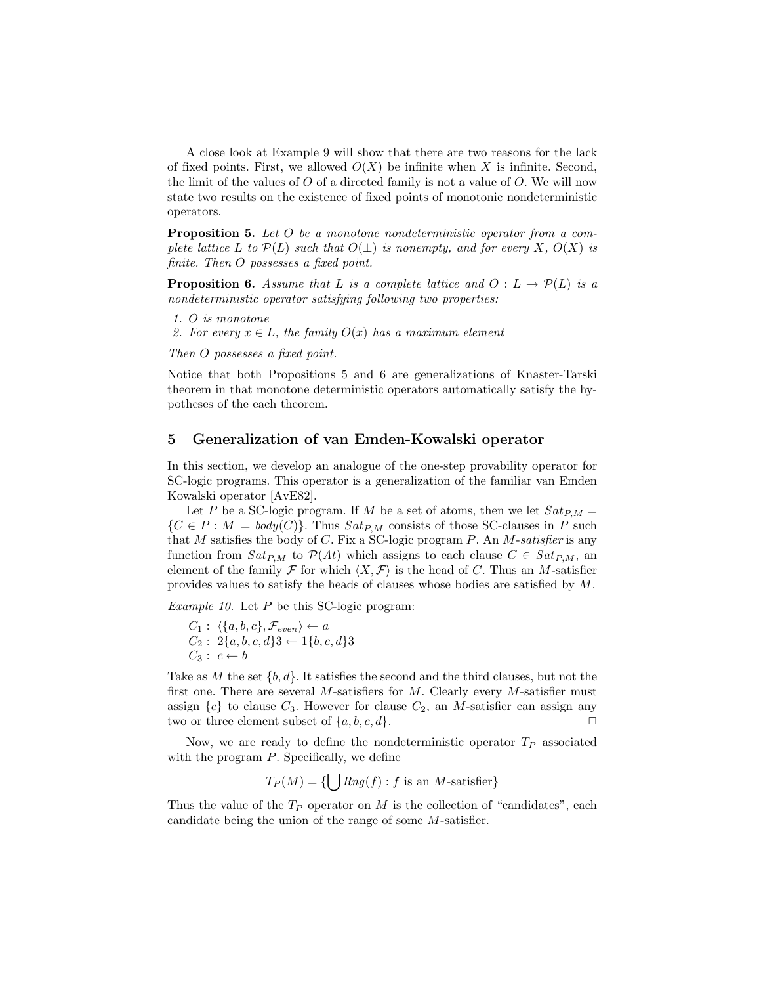A close look at Example 9 will show that there are two reasons for the lack of fixed points. First, we allowed  $O(X)$  be infinite when X is infinite. Second, the limit of the values of  $O$  of a directed family is not a value of  $O$ . We will now state two results on the existence of fixed points of monotonic nondeterministic operators.

Proposition 5. Let O be a monotone nondeterministic operator from a complete lattice L to  $\mathcal{P}(L)$  such that  $O(\perp)$  is nonempty, and for every X,  $O(X)$  is finite. Then O possesses a fixed point.

**Proposition 6.** Assume that L is a complete lattice and  $O: L \to \mathcal{P}(L)$  is a nondeterministic operator satisfying following two properties:

- 1. O is monotone
- 2. For every  $x \in L$ , the family  $O(x)$  has a maximum element

Then O possesses a fixed point.

Notice that both Propositions 5 and 6 are generalizations of Knaster-Tarski theorem in that monotone deterministic operators automatically satisfy the hypotheses of the each theorem.

# 5 Generalization of van Emden-Kowalski operator

In this section, we develop an analogue of the one-step provability operator for SC-logic programs. This operator is a generalization of the familiar van Emden Kowalski operator [AvE82].

Let P be a SC-logic program. If M be a set of atoms, then we let  $Sat_{P,M}$  =  $\{C \in P : M \models body(C)\}.$  Thus  $Sat_{P,M}$  consists of those SC-clauses in P such that  $M$  satisfies the body of  $C$ . Fix a SC-logic program  $P$ . An  $M$ -satisfier is any function from  $Sat_{P,M}$  to  $\mathcal{P}(At)$  which assigns to each clause  $C \in Sat_{P,M}$ , an element of the family  $\mathcal F$  for which  $\langle X, \mathcal F \rangle$  is the head of C. Thus an M-satisfier provides values to satisfy the heads of clauses whose bodies are satisfied by M.

Example 10. Let P be this SC-logic program:

 $C_1$  :  $\langle \{a, b, c\}, \mathcal{F}_{even} \rangle \leftarrow a$  $C_2$  :  $2\{a, b, c, d\}3 \leftarrow 1\{b, c, d\}3$  $C_3: c \leftarrow b$ 

Take as M the set  $\{b, d\}$ . It satisfies the second and the third clauses, but not the first one. There are several M-satisfiers for M. Clearly every M-satisfier must assign  $\{c\}$  to clause  $C_3$ . However for clause  $C_2$ , an M-satisfier can assign any two or three element subset of  $\{a, b, c, d\}$ .

Now, we are ready to define the nondeterministic operator  $T_P$  associated with the program  $P$ . Specifically, we define

T<sup>P</sup> (M) = { [ Rng(f) : f is an M-satisfier}

Thus the value of the  $T_P$  operator on M is the collection of "candidates", each candidate being the union of the range of some M-satisfier.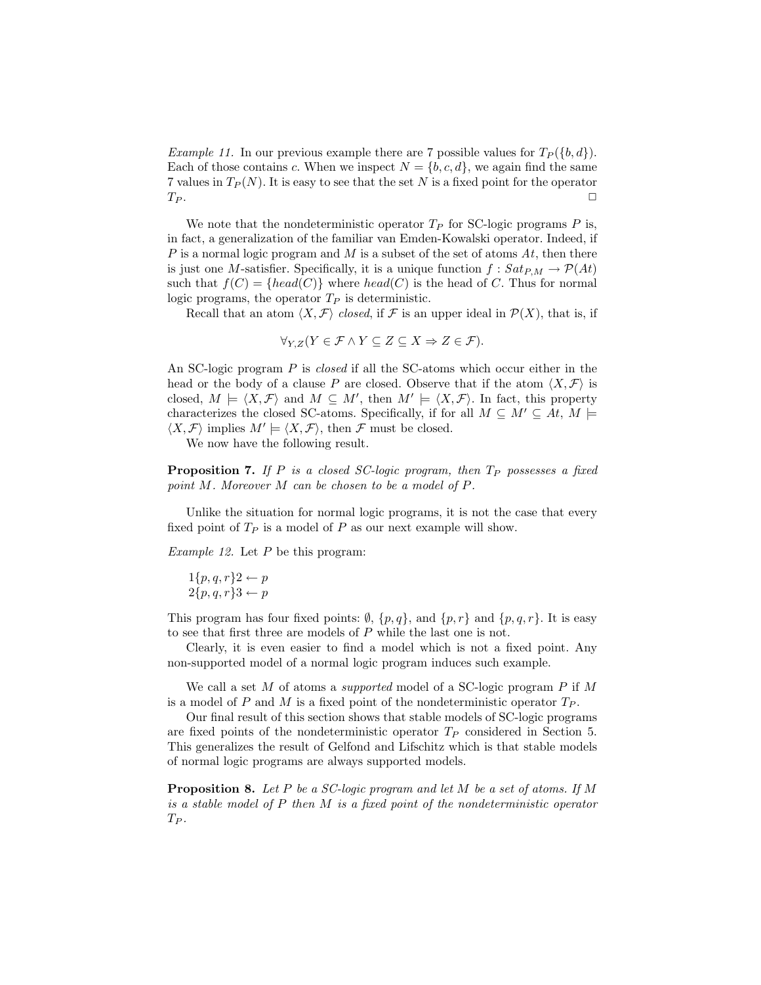*Example 11.* In our previous example there are 7 possible values for  $T_P({b, d})$ . Each of those contains c. When we inspect  $N = \{b, c, d\}$ , we again find the same 7 values in  $T_P(N)$ . It is easy to see that the set N is a fixed point for the operator  $T_P$ .

We note that the nondeterministic operator  $T_P$  for SC-logic programs P is, in fact, a generalization of the familiar van Emden-Kowalski operator. Indeed, if P is a normal logic program and M is a subset of the set of atoms  $At$ , then there is just one M-satisfier. Specifically, it is a unique function  $f : Sat_{P,M} \to \mathcal{P}(At)$ such that  $f(C) = \{head(C)\}\$  where  $head(C)$  is the head of C. Thus for normal logic programs, the operator  $T_P$  is deterministic.

Recall that an atom  $\langle X, \mathcal{F} \rangle$  closed, if F is an upper ideal in  $\mathcal{P}(X)$ , that is, if

$$
\forall_{Y,Z}(Y \in \mathcal{F} \land Y \subseteq Z \subseteq X \Rightarrow Z \in \mathcal{F}).
$$

An SC-logic program P is *closed* if all the SC-atoms which occur either in the head or the body of a clause P are closed. Observe that if the atom  $\langle X, \mathcal{F} \rangle$  is closed,  $M \models \langle X, \mathcal{F} \rangle$  and  $M \subseteq M'$ , then  $M' \models \langle X, \mathcal{F} \rangle$ . In fact, this property characterizes the closed SC-atoms. Specifically, if for all  $M \subseteq M' \subseteq At$ ,  $M \models$  $\langle X, \mathcal{F} \rangle$  implies  $M' \models \langle X, \mathcal{F} \rangle$ , then  $\mathcal{F}$  must be closed.

We now have the following result.

**Proposition 7.** If P is a closed SC-logic program, then  $T_P$  possesses a fixed point M. Moreover M can be chosen to be a model of P.

Unlike the situation for normal logic programs, it is not the case that every fixed point of  $T_P$  is a model of P as our next example will show.

*Example 12.* Let  $P$  be this program:

$$
1\{p,q,r\}2 \leftarrow p
$$
  

$$
2\{p,q,r\}3 \leftarrow p
$$

This program has four fixed points:  $\emptyset$ ,  $\{p,q\}$ , and  $\{p,r\}$  and  $\{p,q,r\}$ . It is easy to see that first three are models of P while the last one is not.

Clearly, it is even easier to find a model which is not a fixed point. Any non-supported model of a normal logic program induces such example.

We call a set  $M$  of atoms a *supported* model of a SC-logic program  $P$  if  $M$ is a model of P and M is a fixed point of the nondeterministic operator  $T_P$ .

Our final result of this section shows that stable models of SC-logic programs are fixed points of the nondeterministic operator  $T_P$  considered in Section 5. This generalizes the result of Gelfond and Lifschitz which is that stable models of normal logic programs are always supported models.

**Proposition 8.** Let P be a SC-logic program and let M be a set of atoms. If M is a stable model of P then M is a fixed point of the nondeterministic operator  $T_P$ .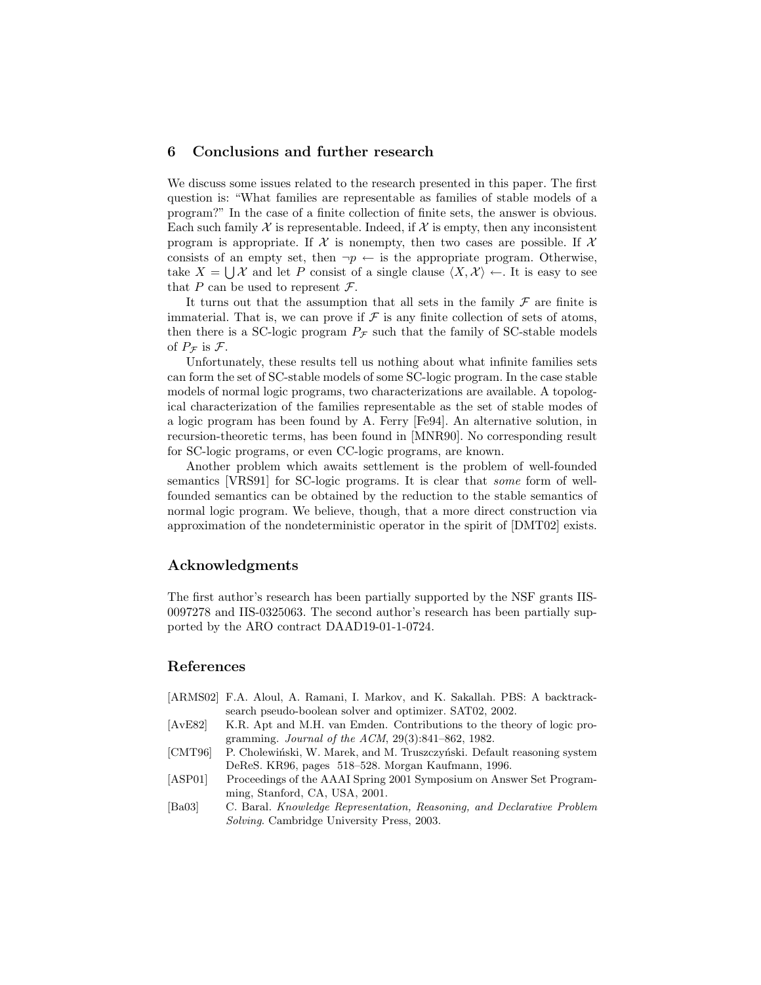# 6 Conclusions and further research

We discuss some issues related to the research presented in this paper. The first question is: "What families are representable as families of stable models of a program?" In the case of a finite collection of finite sets, the answer is obvious. Each such family  $\mathcal X$  is representable. Indeed, if  $\mathcal X$  is empty, then any inconsistent program is appropriate. If  $\mathcal X$  is nonempty, then two cases are possible. If  $\mathcal X$ consists of an empty set, then  $\neg p \leftarrow$  is the appropriate program. Otherwise, take  $X = \bigcup \mathcal{X}$  and let P consist of a single clause  $\langle X, \mathcal{X} \rangle \leftarrow$ . It is easy to see that P can be used to represent  $\mathcal{F}$ .

It turns out that the assumption that all sets in the family  $\mathcal F$  are finite is immaterial. That is, we can prove if  $\mathcal F$  is any finite collection of sets of atoms, then there is a SC-logic program  $P_{\mathcal{F}}$  such that the family of SC-stable models of  $P_{\mathcal{F}}$  is  $\mathcal{F}.$ 

Unfortunately, these results tell us nothing about what infinite families sets can form the set of SC-stable models of some SC-logic program. In the case stable models of normal logic programs, two characterizations are available. A topological characterization of the families representable as the set of stable modes of a logic program has been found by A. Ferry [Fe94]. An alternative solution, in recursion-theoretic terms, has been found in [MNR90]. No corresponding result for SC-logic programs, or even CC-logic programs, are known.

Another problem which awaits settlement is the problem of well-founded semantics [VRS91] for SC-logic programs. It is clear that some form of wellfounded semantics can be obtained by the reduction to the stable semantics of normal logic program. We believe, though, that a more direct construction via approximation of the nondeterministic operator in the spirit of [DMT02] exists.

### Acknowledgments

The first author's research has been partially supported by the NSF grants IIS-0097278 and IIS-0325063. The second author's research has been partially supported by the ARO contract DAAD19-01-1-0724.

# References

- [ARMS02] F.A. Aloul, A. Ramani, I. Markov, and K. Sakallah. PBS: A backtracksearch pseudo-boolean solver and optimizer. SAT02, 2002.
- [AvE82] K.R. Apt and M.H. van Emden. Contributions to the theory of logic programming. Journal of the ACM, 29(3):841–862, 1982.
- [CMT96] P. Cholewiński, W. Marek, and M. Truszczyński. Default reasoning system DeReS. KR96, pages 518–528. Morgan Kaufmann, 1996.
- [ASP01] Proceedings of the AAAI Spring 2001 Symposium on Answer Set Programming, Stanford, CA, USA, 2001.
- [Ba03] C. Baral. Knowledge Representation, Reasoning, and Declarative Problem Solving. Cambridge University Press, 2003.